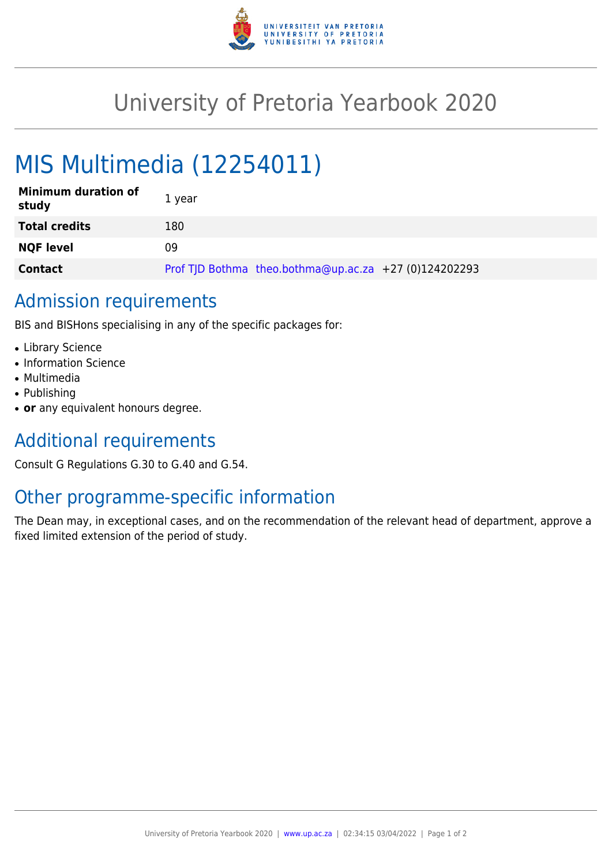

## University of Pretoria Yearbook 2020

# MIS Multimedia (12254011)

| <b>Minimum duration of</b><br>study | 1 year                                                |
|-------------------------------------|-------------------------------------------------------|
| <b>Total credits</b>                | 180                                                   |
| <b>NQF level</b>                    | 09                                                    |
| <b>Contact</b>                      | Prof TJD Bothma theo.bothma@up.ac.za +27 (0)124202293 |

#### Admission requirements

BIS and BISHons specialising in any of the specific packages for:

- Library Science
- Information Science
- Multimedia
- Publishing
- or any equivalent honours degree.

### Additional requirements

Consult G Regulations G.30 to G.40 and G.54.

#### Other programme-specific information

The Dean may, in exceptional cases, and on the recommendation of the relevant head of department, approve a fixed limited extension of the period of study.